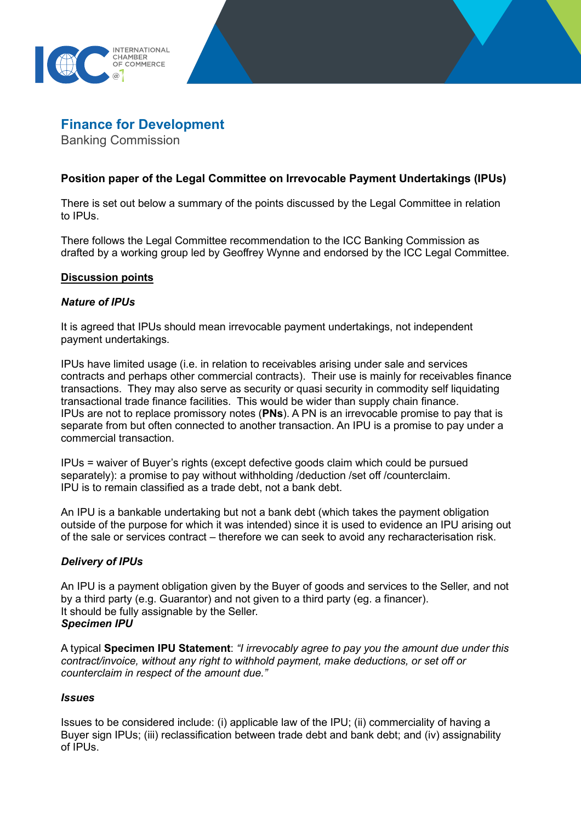



Banking Commission

# **Position paper of the Legal Committee on Irrevocable Payment Undertakings (IPUs)**

There is set out below a summary of the points discussed by the Legal Committee in relation to IPUs.

There follows the Legal Committee recommendation to the ICC Banking Commission as drafted by a working group led by Geoffrey Wynne and endorsed by the ICC Legal Committee.

### **Discussion points**

### *Nature of IPUs*

It is agreed that IPUs should mean irrevocable payment undertakings, not independent payment undertakings.

IPUs have limited usage (i.e. in relation to receivables arising under sale and services contracts and perhaps other commercial contracts). Their use is mainly for receivables finance transactions. They may also serve as security or quasi security in commodity self liquidating transactional trade finance facilities. This would be wider than supply chain finance. IPUs are not to replace promissory notes (**PNs**). A PN is an irrevocable promise to pay that is separate from but often connected to another transaction. An IPU is a promise to pay under a commercial transaction.

IPUs = waiver of Buyer's rights (except defective goods claim which could be pursued separately): a promise to pay without withholding /deduction /set off /counterclaim. IPU is to remain classified as a trade debt, not a bank debt.

An IPU is a bankable undertaking but not a bank debt (which takes the payment obligation outside of the purpose for which it was intended) since it is used to evidence an IPU arising out of the sale or services contract – therefore we can seek to avoid any recharacterisation risk.

## *Delivery of IPUs*

An IPU is a payment obligation given by the Buyer of goods and services to the Seller, and not by a third party (e.g. Guarantor) and not given to a third party (eg. a financer). It should be fully assignable by the Seller. *Specimen IPU*

A typical **Specimen IPU Statement**: *"I irrevocably agree to pay you the amount due under this contract/invoice, without any right to withhold payment, make deductions, or set off or counterclaim in respect of the amount due."*

#### *Issues*

Issues to be considered include: (i) applicable law of the IPU; (ii) commerciality of having a Buyer sign IPUs; (iii) reclassification between trade debt and bank debt; and (iv) assignability of IPUs.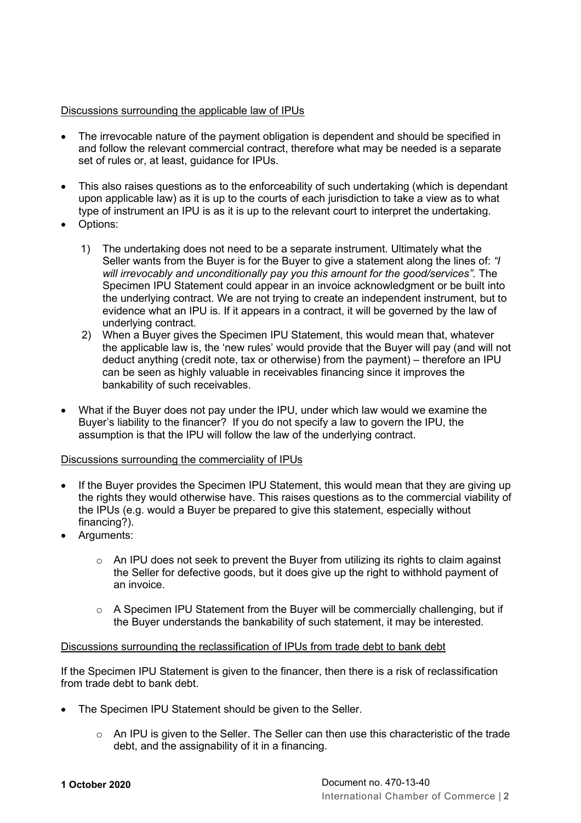# Discussions surrounding the applicable law of IPUs

- The irrevocable nature of the payment obligation is dependent and should be specified in and follow the relevant commercial contract, therefore what may be needed is a separate set of rules or, at least, guidance for IPUs.
- This also raises questions as to the enforceability of such undertaking (which is dependant upon applicable law) as it is up to the courts of each jurisdiction to take a view as to what type of instrument an IPU is as it is up to the relevant court to interpret the undertaking.
- Options:
	- 1) The undertaking does not need to be a separate instrument. Ultimately what the Seller wants from the Buyer is for the Buyer to give a statement along the lines of: *"I will irrevocably and unconditionally pay you this amount for the good/services".* The Specimen IPU Statement could appear in an invoice acknowledgment or be built into the underlying contract. We are not trying to create an independent instrument, but to evidence what an IPU is. If it appears in a contract, it will be governed by the law of underlying contract.
	- 2) When a Buyer gives the Specimen IPU Statement, this would mean that, whatever the applicable law is, the 'new rules' would provide that the Buyer will pay (and will not deduct anything (credit note, tax or otherwise) from the payment) – therefore an IPU can be seen as highly valuable in receivables financing since it improves the bankability of such receivables.
- What if the Buyer does not pay under the IPU, under which law would we examine the Buyer's liability to the financer? If you do not specify a law to govern the IPU, the assumption is that the IPU will follow the law of the underlying contract.

## Discussions surrounding the commerciality of IPUs

- If the Buyer provides the Specimen IPU Statement, this would mean that they are giving up the rights they would otherwise have. This raises questions as to the commercial viability of the IPUs (e.g. would a Buyer be prepared to give this statement, especially without financing?).
- Arguments:
	- $\circ$  An IPU does not seek to prevent the Buyer from utilizing its rights to claim against the Seller for defective goods, but it does give up the right to withhold payment of an invoice.
	- $\circ$  A Specimen IPU Statement from the Buyer will be commercially challenging, but if the Buyer understands the bankability of such statement, it may be interested.

## Discussions surrounding the reclassification of IPUs from trade debt to bank debt

If the Specimen IPU Statement is given to the financer, then there is a risk of reclassification from trade debt to bank debt.

- The Specimen IPU Statement should be given to the Seller.
	- o An IPU is given to the Seller. The Seller can then use this characteristic of the trade debt, and the assignability of it in a financing.